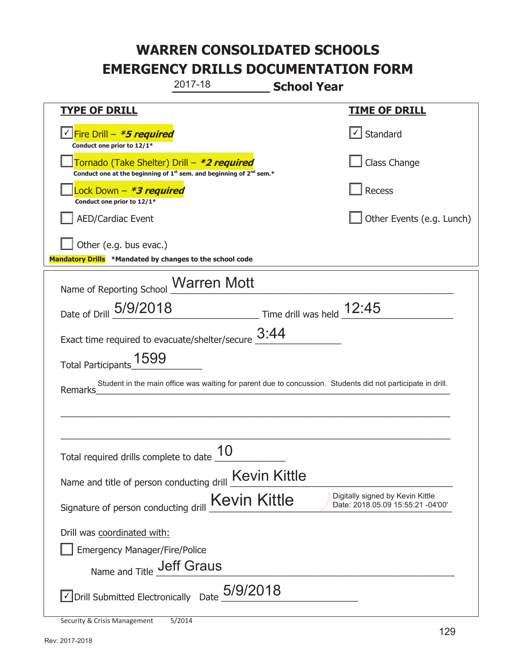| 2017-18                                                                                                                                   | <b>School Year</b>                                                    |  |  |
|-------------------------------------------------------------------------------------------------------------------------------------------|-----------------------------------------------------------------------|--|--|
| <u>TYPE OF DRILL</u>                                                                                                                      | <u>TIME OF DRILL</u>                                                  |  |  |
| <u>√ Fire Drill – <i>*5 required</i></u><br>Conduct one prior to 12/1*                                                                    | $\vert \cdot \vert$ Standard                                          |  |  |
| Tornado (Take Shelter) Drill – *2 required<br>Conduct one at the beginning of 1 <sup>st</sup> sem. and beginning of 2 <sup>nd</sup> sem.* | Class Change                                                          |  |  |
| ock Down - <b>*3 required</b><br>Conduct one prior to 12/1*                                                                               | <b>Recess</b>                                                         |  |  |
| <b>AED/Cardiac Event</b>                                                                                                                  | Other Events (e.g. Lunch)                                             |  |  |
| Other (e.g. bus evac.)<br>Mandatory Drills *Mandated by changes to the school code                                                        |                                                                       |  |  |
| Name of Reporting School Marren Mott                                                                                                      |                                                                       |  |  |
| Date of Drill 5/9/2018                                                                                                                    | Time drill was held 12:45                                             |  |  |
| Exact time required to evacuate/shelter/secure $\underline{\hspace{1em}3:}44$                                                             |                                                                       |  |  |
| Total Participants 1599                                                                                                                   |                                                                       |  |  |
| Student in the main office was waiting for parent due to concussion. Students did not participate in drill.<br>Remarks                    |                                                                       |  |  |
|                                                                                                                                           |                                                                       |  |  |
|                                                                                                                                           |                                                                       |  |  |
| Total required drills complete to date $\frac{10}{10}$                                                                                    |                                                                       |  |  |
| Name and title of person conducting drill <b>Kevin Kittle</b>                                                                             |                                                                       |  |  |
| <b>Kevin Kittle</b><br>Signature of person conducting drill                                                                               | Digitally signed by Kevin Kittle<br>Date: 2018.05.09 15:55:21 -04'00' |  |  |
| Drill was coordinated with:                                                                                                               |                                                                       |  |  |
| <b>Emergency Manager/Fire/Police</b>                                                                                                      |                                                                       |  |  |
| Name and Title <b>Jeff Graus</b>                                                                                                          |                                                                       |  |  |
| $\sqrt{}$ Drill Submitted Electronically Date $5/9/2018$                                                                                  |                                                                       |  |  |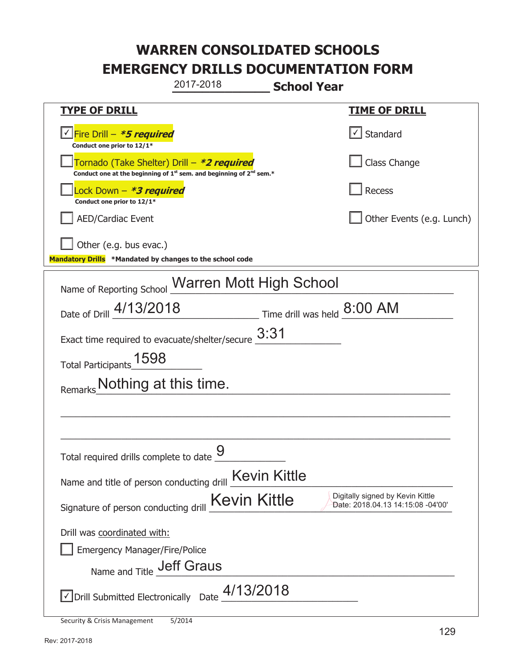**\_\_\_\_\_\_\_\_\_\_\_\_\_ School Year TYPE OF DRILL TIME OF DRILL**  <mark>▽ Fire Drill – *\*5 required* マイクレス マイクレス マイクレス マイクレス マイクレス マイクレス マイクレス マイクレス しゃく</mark> **Conduct one prior to 12/1\***   $\boxed{\sqrt}$  Standard 侊Tornado (Take Shelter) Drill – **\*2 required** Conduct one at the beginning of 1<sup>st</sup> sem. and beginning of 2<sup>nd</sup> sem.\* Class Change 侊Lock Down – **\*3 required Conduct one prior to 12/1\* Recess** AED/Cardiac Event **AED/Cardiac Event Network Network Network Network Network Network Network Network Network Network Network Network Network Network Network Network Network Network Net** Other (e.g. bus evac.) **Mandatory Drills \*Mandated by changes to the school code**  Name of Reporting School Warren Mott High School Date of Drill  $\frac{4/13/2018}{2}$  Time drill was held  $\frac{8:00 \text{ AM}}{2}$ Exact time required to evacuate/shelter/secure  $3:31$ Total Participants\_1598 Remarks\_Nothing at this time.  $\_$  , and the set of the set of the set of the set of the set of the set of the set of the set of the set of the set of the set of the set of the set of the set of the set of the set of the set of the set of the set of th \_\_\_\_\_\_\_\_\_\_\_\_\_\_\_\_\_\_\_\_\_\_\_\_\_\_\_\_\_\_\_\_\_\_\_\_\_\_\_\_\_\_\_\_\_\_\_\_\_\_\_\_\_\_\_\_\_\_\_\_\_\_\_\_\_\_\_\_\_\_\_\_\_\_\_\_\_ Total required drills complete to date  $\overline{9}$ Name and title of person conducting drill Kevin Kittle Signature of person conducting drill  $Kevin$  Kittle Digitally signed by Kevin Kittle Sugnature of person conducting drill Drill was coordinated with: ܆ Emergency Manager/Fire/Police Name and Title **Jeff Graus**  $\sqrt{2}$  Drill Submitted Electronically Date  $\frac{4/13/2018}{2}$ 2017-2018 Date: 2018.04.13 14:15:08 -04'00'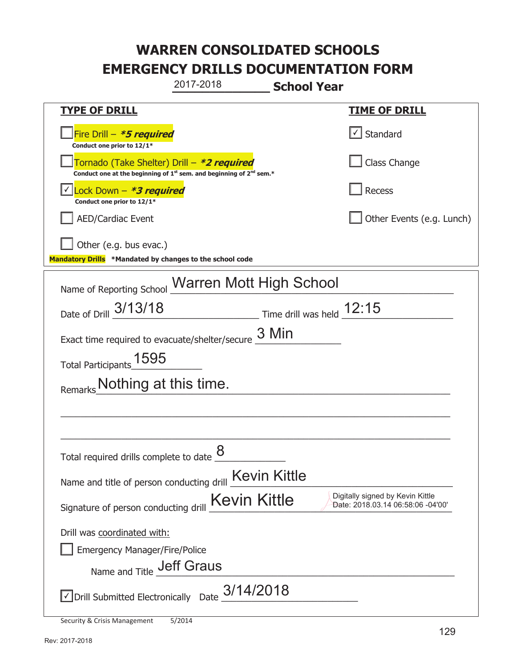**\_\_\_\_\_\_\_\_\_\_\_\_\_ School Year TYPE OF DRILL TIME OF DRILL**  侊Fire Drill – **\*5 required Conduct one prior to 12/1\***   $\boxed{\checkmark}$  Standard 侊Tornado (Take Shelter) Drill – **\*2 required Conduct one at the beginning of 1<sup>st</sup> sem. and beginning of 2<sup>nd</sup> sem.\*** Class Change 侊Lock Down – **\*3 required** ✔ **Conduct one prior to 12/1\* Recess** AED/Cardiac Event **AED/Cardiac Event Network Network Network Network Network Network Network Network Network Network Network Network Network Network Network Network Network Network Net** Other (e.g. bus evac.) **Mandatory Drills \*Mandated by changes to the school code**  Name of Reporting School Warren Mott High School Date of Drill  $\frac{3/13/18}{2}$  Time drill was held  $\frac{12:15}{2}$ Exact time required to evacuate/shelter/secure  $\frac{3 \text{ Min}}{2}$ Total Participants  $\underline{1595}$ Remarks\_Nothing at this time.  $\_$  , and the set of the set of the set of the set of the set of the set of the set of the set of the set of the set of the set of the set of the set of the set of the set of the set of the set of the set of the set of th \_\_\_\_\_\_\_\_\_\_\_\_\_\_\_\_\_\_\_\_\_\_\_\_\_\_\_\_\_\_\_\_\_\_\_\_\_\_\_\_\_\_\_\_\_\_\_\_\_\_\_\_\_\_\_\_\_\_\_\_\_\_\_\_\_\_\_\_\_\_\_\_\_\_\_\_\_ Total required drills complete to date  $\frac{8}{2}$ Name and title of person conducting drill Kevin Kittle Signature of person conducting drill  $Kevin$  Kittle Digitally signed by Kevin Kittle Sugnature of person conducting drill Drill was coordinated with: ܆ Emergency Manager/Fire/Police Name and Title **Jeff Graus**  $\triangledown$  Drill Submitted Electronically Date  $3/14/2018$ 2017-2018 Date: 2018.03.14 06:58:06 -04'00'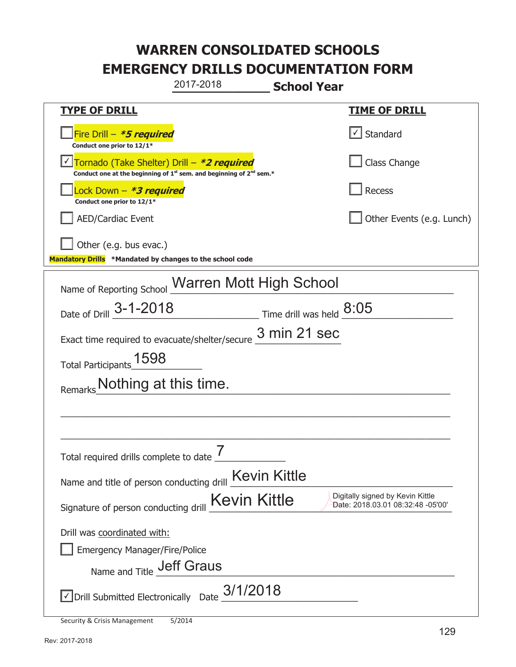**\_\_\_\_\_\_\_\_\_\_\_\_\_ School Year TYPE OF DRILL TIME OF DRILL**  侊Fire Drill – **\*5 required Conduct one prior to 12/1\***   $\boxed{\checkmark}$  Standard 侊Tornado (Take Shelter) Drill – **\*2 required** ✔ **Conduct one at the beginning of 1<sup>st</sup> sem. and beginning of 2<sup>nd</sup> sem.\*** Class Change 侊Lock Down – **\*3 required Conduct one prior to 12/1\* Recess** AED/Cardiac Event **AED/Cardiac Event Network Network Network Network Network Network Network Network Network Network Network Network Network Network Network Network Network Network Net** Other (e.g. bus evac.) **Mandatory Drills \*Mandated by changes to the school code**  Name of Reporting School Warren Mott High School Date of Drill  $\frac{3-1-2018}{2}$  Time drill was held  $\frac{8:05}{2}$ Exact time required to evacuate/shelter/secure  $\frac{3 \text{ min } 21 \text{ sec}}{2}$ Total Participants\_1598 Remarks\_Nothing at this time.  $\_$  , and the set of the set of the set of the set of the set of the set of the set of the set of the set of the set of the set of the set of the set of the set of the set of the set of the set of the set of the set of th \_\_\_\_\_\_\_\_\_\_\_\_\_\_\_\_\_\_\_\_\_\_\_\_\_\_\_\_\_\_\_\_\_\_\_\_\_\_\_\_\_\_\_\_\_\_\_\_\_\_\_\_\_\_\_\_\_\_\_\_\_\_\_\_\_\_\_\_\_\_\_\_\_\_\_\_\_ Total required drills complete to date  $\frac{7}{2}$ Name and title of person conducting drill Kevin Kittle Signature of person conducting drill  $Kevin$  Kittle Digitally signed by Kevin Kittle Sugnature of person conducting drill Drill was coordinated with: ܆ Emergency Manager/Fire/Police Name and Title **Jeff Graus**  $\sqrt{2}$  Drill Submitted Electronically Date  $3/1/2018$ 2017-2018 Date: 2018.03.01 08:32:48 -05'00'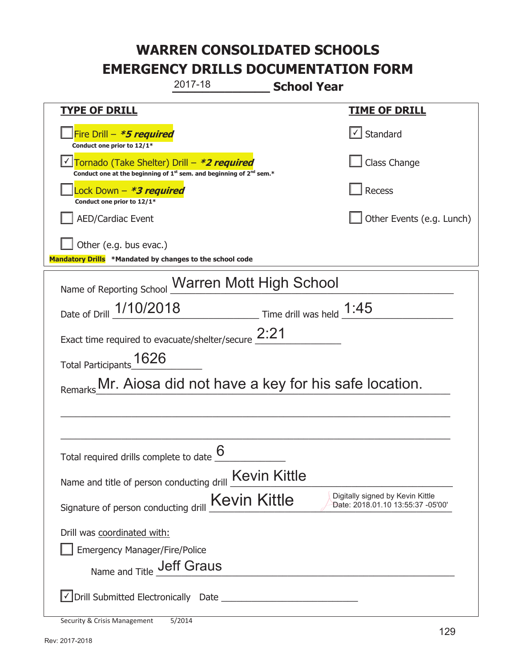|                                                                                    | 2017-18                                                                                     | <b>School Year</b>                                                    |  |  |
|------------------------------------------------------------------------------------|---------------------------------------------------------------------------------------------|-----------------------------------------------------------------------|--|--|
| <b>TYPE OF DRILL</b>                                                               |                                                                                             | <b>TIME OF DRILL</b>                                                  |  |  |
| Fire Drill - *5 required<br>Conduct one prior to 12/1*                             |                                                                                             | Standard                                                              |  |  |
| Tornado (Take Shelter) Drill – *2 required                                         | Conduct one at the beginning of 1 <sup>st</sup> sem. and beginning of 2 <sup>nd</sup> sem.* | Class Change                                                          |  |  |
| Lock Down – <b>*3 required</b><br>Conduct one prior to 12/1*                       |                                                                                             | <b>Recess</b>                                                         |  |  |
| <b>AED/Cardiac Event</b>                                                           |                                                                                             | Other Events (e.g. Lunch)                                             |  |  |
| Other (e.g. bus evac.)<br>Mandatory Drills *Mandated by changes to the school code |                                                                                             |                                                                       |  |  |
| Name of Reporting School Warren Mott High School                                   |                                                                                             |                                                                       |  |  |
| Date of Drill 1/10/2018                                                            | $\frac{1.45}{1.45}$ Time drill was held $\frac{1.45}{1.45}$                                 |                                                                       |  |  |
|                                                                                    | Exact time required to evacuate/shelter/secure $2:21$                                       |                                                                       |  |  |
| Total Participants 1626                                                            |                                                                                             |                                                                       |  |  |
| Remarks Mr. Aiosa did not have a key for his safe location.                        |                                                                                             |                                                                       |  |  |
|                                                                                    |                                                                                             |                                                                       |  |  |
|                                                                                    |                                                                                             |                                                                       |  |  |
| Total required drills complete to date $\frac{6}{6}$                               |                                                                                             |                                                                       |  |  |
| Name and title of person conducting drill <b>Kevin Kittle</b>                      |                                                                                             |                                                                       |  |  |
| Signature of person conducting drill                                               | <b>Kevin Kittle</b>                                                                         | Digitally signed by Kevin Kittle<br>Date: 2018.01.10 13:55:37 -05'00' |  |  |
| Drill was coordinated with:                                                        |                                                                                             |                                                                       |  |  |
| <b>Emergency Manager/Fire/Police</b>                                               |                                                                                             |                                                                       |  |  |
| Name and Title <b>Jeff Graus</b>                                                   |                                                                                             |                                                                       |  |  |
|                                                                                    |                                                                                             |                                                                       |  |  |
| Security & Crisis Management                                                       | 5/2014                                                                                      |                                                                       |  |  |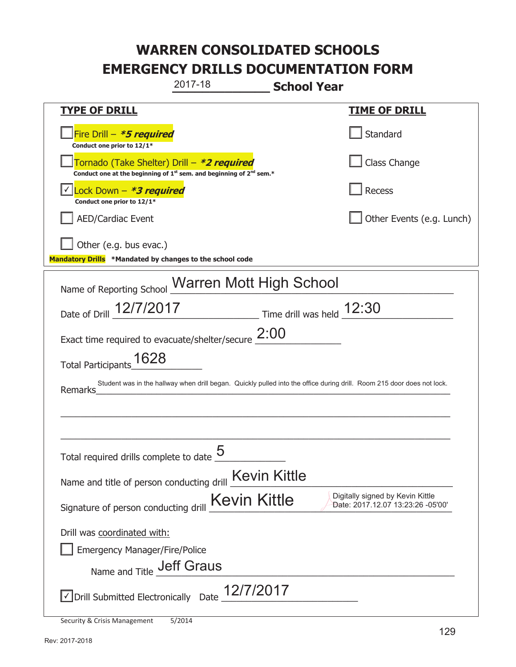|                                                                                    | 2017-18                                                                                                                                   | <b>School Year</b> |                                                                       |
|------------------------------------------------------------------------------------|-------------------------------------------------------------------------------------------------------------------------------------------|--------------------|-----------------------------------------------------------------------|
| <b>TYPE OF DRILL</b>                                                               |                                                                                                                                           |                    | <b>TIME OF DRILL</b>                                                  |
| Fire Drill - *5 required<br>Conduct one prior to 12/1*                             |                                                                                                                                           |                    | Standard                                                              |
|                                                                                    | Tornado (Take Shelter) Drill – *2 required<br>Conduct one at the beginning of 1 <sup>st</sup> sem. and beginning of 2 <sup>nd</sup> sem.* |                    | Class Change                                                          |
| Lock Down - *3 required<br>Conduct one prior to 12/1*                              |                                                                                                                                           |                    | <b>Recess</b>                                                         |
| <b>AED/Cardiac Event</b>                                                           |                                                                                                                                           |                    | Other Events (e.g. Lunch)                                             |
| Other (e.g. bus evac.)<br>Mandatory Drills *Mandated by changes to the school code |                                                                                                                                           |                    |                                                                       |
|                                                                                    |                                                                                                                                           |                    |                                                                       |
| Name of Reporting School                                                           | <b>Warren Mott High School</b>                                                                                                            |                    |                                                                       |
| Date of Drill 12/7/2017                                                            | $\frac{12:30}{2}$ Time drill was held $\frac{12:30}{2}$                                                                                   |                    |                                                                       |
|                                                                                    | Exact time required to evacuate/shelter/secure $2:00$                                                                                     |                    |                                                                       |
| Total Participants_1628                                                            |                                                                                                                                           |                    |                                                                       |
| Remarks                                                                            | Student was in the hallway when drill began. Quickly pulled into the office during drill. Room 215 door does not lock.                    |                    |                                                                       |
|                                                                                    |                                                                                                                                           |                    |                                                                       |
|                                                                                    |                                                                                                                                           |                    |                                                                       |
| Total required drills complete to date $\frac{5}{4}$                               |                                                                                                                                           |                    |                                                                       |
| Name and title of person conducting drill                                          | <b>Kevin Kittle</b>                                                                                                                       |                    |                                                                       |
| Signature of person conducting drill                                               | Kevin Kittle                                                                                                                              |                    | Digitally signed by Kevin Kittle<br>Date: 2017.12.07 13:23:26 -05'00' |
| Drill was coordinated with:                                                        |                                                                                                                                           |                    |                                                                       |
| <b>Emergency Manager/Fire/Police</b>                                               |                                                                                                                                           |                    |                                                                       |
| Name and Title <b>Jeff Graus</b>                                                   |                                                                                                                                           |                    |                                                                       |
| √ Drill Submitted Electronically                                                   | 12/7/2017<br>Date                                                                                                                         |                    |                                                                       |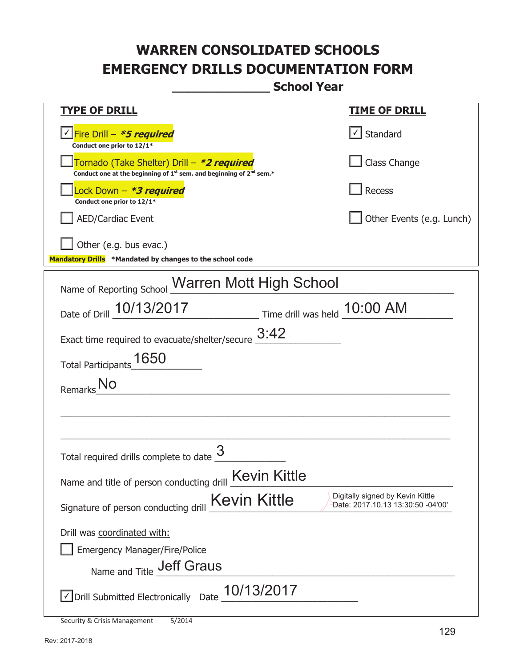**\_\_\_\_\_\_\_\_\_\_\_\_\_ School Year** 

| <u>TYPE OF DRILL</u>                                                                                                                      | <u>TIME OF DRILL</u>                                                  |
|-------------------------------------------------------------------------------------------------------------------------------------------|-----------------------------------------------------------------------|
| <u> √ Fire Drill – <i>*5 required</i></u><br>Conduct one prior to 12/1*                                                                   | √ Standard                                                            |
| Tornado (Take Shelter) Drill – *2 required<br>Conduct one at the beginning of 1 <sup>st</sup> sem. and beginning of 2 <sup>nd</sup> sem.* | Class Change                                                          |
| Lock Down – <b>*<i>3 required</i></b><br>Conduct one prior to 12/1*                                                                       | <b>Recess</b>                                                         |
| <b>AED/Cardiac Event</b>                                                                                                                  | Other Events (e.g. Lunch)                                             |
| Other (e.g. bus evac.)<br>Mandatory Drills *Mandated by changes to the school code                                                        |                                                                       |
| Name of Reporting School Warren Mott High School                                                                                          |                                                                       |
| Date of Drill 10/13/2017<br>Time drill was held 10:00 AM                                                                                  |                                                                       |
| Exact time required to evacuate/shelter/secure $3:42$                                                                                     |                                                                       |
| Total Participants 1650                                                                                                                   |                                                                       |
| Remarks No                                                                                                                                |                                                                       |
|                                                                                                                                           |                                                                       |
| Total required drills complete to date                                                                                                    |                                                                       |
| Name and title of person conducting drill <b>Kevin Kittle</b>                                                                             |                                                                       |
| <b>Kevin Kittle</b><br>Signature of person conducting drill                                                                               | Digitally signed by Kevin Kittle<br>Date: 2017.10.13 13:30:50 -04'00' |
| Drill was coordinated with:                                                                                                               |                                                                       |
| <b>Emergency Manager/Fire/Police</b>                                                                                                      |                                                                       |
| <b>Jeff Graus</b><br>Name and Title                                                                                                       |                                                                       |
| 10/13/2017<br>√ Drill Submitted Electronically Date                                                                                       |                                                                       |

Security & Crisis Management 5/2014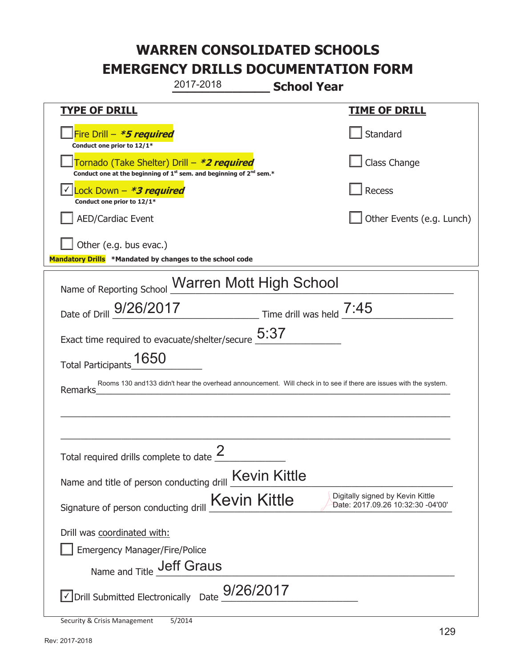**\_\_\_\_\_\_\_\_\_\_\_\_\_ School Year TYPE OF DRILL TIME OF DRILL**  侊Fire Drill – **\*5 required Conduct one prior to 12/1\* Standard** 侊Tornado (Take Shelter) Drill – **\*2 required Conduct one at the beginning of 1<sup>st</sup> sem. and beginning of 2<sup>nd</sup> sem.\*** Class Change 侊Lock Down – **\*3 required** ✔ **Conduct one prior to 12/1\* Recess** AED/Cardiac Event **AED/Cardiac Event Network Network Network Network Network Network Network Network Network Network Network Network Network Network Network Network Network Network Net** Other (e.g. bus evac.) **Mandatory Drills \*Mandated by changes to the school code**  Name of Reporting School Warren Mott High School Date of Drill  $\frac{9/26/2017}{\text{Date of Drill}}$  Time drill was held  $\frac{7:45}{\text{Date of Drill}}$ Exact time required to evacuate/shelter/secure  $5:37$ Total Participants\_1650 Remarks\_\_\_\_\_\_\_\_\_\_\_\_\_\_\_\_\_\_\_\_\_\_\_\_\_\_\_\_\_\_\_\_\_\_\_\_\_\_\_\_\_\_\_\_\_\_\_\_\_\_\_\_\_\_\_\_\_\_\_\_\_\_\_\_\_\_\_\_\_\_  $\_$  , and the set of the set of the set of the set of the set of the set of the set of the set of the set of the set of the set of the set of the set of the set of the set of the set of the set of the set of the set of th \_\_\_\_\_\_\_\_\_\_\_\_\_\_\_\_\_\_\_\_\_\_\_\_\_\_\_\_\_\_\_\_\_\_\_\_\_\_\_\_\_\_\_\_\_\_\_\_\_\_\_\_\_\_\_\_\_\_\_\_\_\_\_\_\_\_\_\_\_\_\_\_\_\_\_\_\_ Total required drills complete to date  $\frac{2}{\sqrt{2}}$ Name and title of person conducting drill Kevin Kittle Signature of person conducting drill  $Kevin$  Kittle Digitally signed by Kevin Kittle Support Signature of person conducting drill Drill was coordinated with: ܆ Emergency Manager/Fire/Police Name and Title **Jeff Graus**  $\triangledown$  Drill Submitted Electronically Date  $\frac{9/26/2017}{\sqrt{25}}$ 2017-2018 Rooms 130 and133 didn't hear the overhead announcement. Will check in to see if there are issues with the system. Date: 2017.09.26 10:32:30 -04'00'